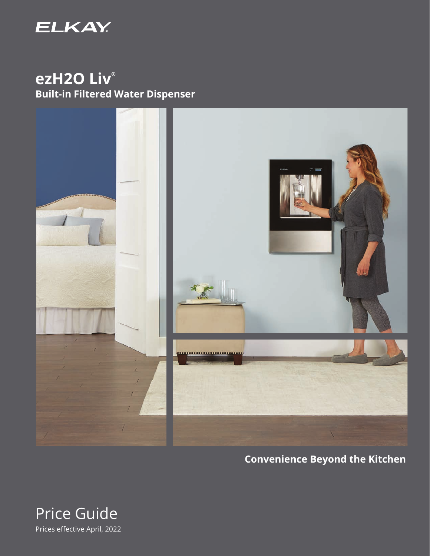

# **ezH2O Liv® Built-in Filtered Water Dispenser**



## **Convenience Beyond the Kitchen**

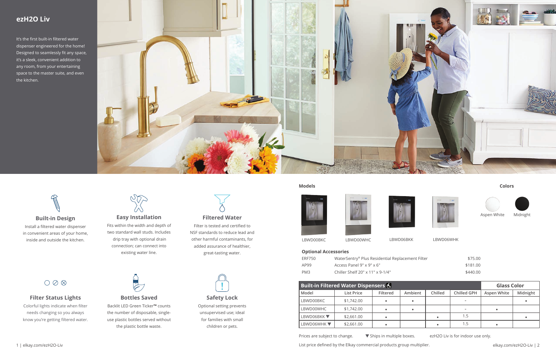| <b>Built-in Filtered Water Dispensers &amp;</b> |                   |          |         |         |             |             | <b>Glass Color</b> |  |
|-------------------------------------------------|-------------------|----------|---------|---------|-------------|-------------|--------------------|--|
| Model                                           | <b>List Price</b> | Filtered | Ambient | Chilled | Chilled GPH | Aspen White | Midnight           |  |
| LBWD00BKC                                       | \$1,742.00        |          |         |         |             |             |                    |  |
| LBWD00WHC                                       | \$1,742.00        |          |         |         |             |             |                    |  |
| LBWD06BKK $\blacktriangledown$                  | \$2,661.00        |          |         |         | 1.5         |             |                    |  |
| LBWD06WHK ▼                                     | \$2,661.00        |          |         |         | 1.5         |             |                    |  |

Prices are subject to change.  $\blacktriangledown$  Ships in multiple boxes. ezH2O Liv is for indoor use only.

1 | elkay.com/ezH2O-Liv elkay.com/ezH2O-Liv | 2

### **ezH2O Liv**

It's the first built-in filtered water dispenser engineered for the home! Designed to seamlessly fit any space, it's a sleek, convenient addition to any room, from your entertaining space to the master suite, and even the kitchen.



#### **Optional Accessories**

| <b>FRF750</b> |  |
|---------------|--|
| AP99          |  |
| PM3           |  |

WaterSentry® Plus Residential Replacement Filter \$75.00 Access Panel 9" x 9" x 6"  $$181.00$ PM3 Chiller Shelf 20" x 11" x 9-1/4" \$440.00

LBWD00BKC LBWD00WHC LBWD06BKK LBWD06WHK

#### **Filtered Water**

# $O$   $\oslash$   $\otimes$ **Filter Status Lights**

Filter is tested and certified to NSF standards to reduce lead and other harmful contaminants, for added assurance of healthier, great-tasting water.



### **Safety Lock**

Optional setting prevents unsupervised use; ideal for families with small children or pets.

# **Bottles Saved**

Backlit LED Green Ticker**™** counts the number of disposable, singleuse plastic bottles served without the plastic bottle waste.







Fits within the width and depth of two standard wall studs. Includes drip tray with optional drain connection; can connect into existing water line.



Colorful lights indicate when filter needs changing so you always know you're getting filtered water.





#### **Models Colors**